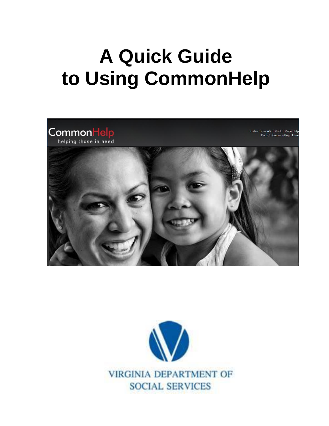# **A Quick Guide to Using CommonHelp**



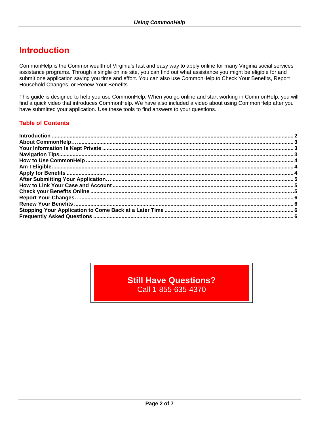## **Introduction**

CommonHelp is the Commonwealth of Virginia's fast and easy way to apply online for many Virginia social services assistance programs. Through a single online site, you can find out what assistance you might be eligible for and submit one application saving you time and effort. You can also use CommonHelp to Check Your Benefits, Report Household Changes, or Renew Your Benefits.

This guide is designed to help you use CommonHelp. When you go online and start working in CommonHelp, you will find a quick video that introduces CommonHelp. We have also included a video about using CommonHelp after you have submitted your application. Use these tools to find answers to your questions.

## **Table of Contents**

**Still Have Questions?** Call 1-855-635-4370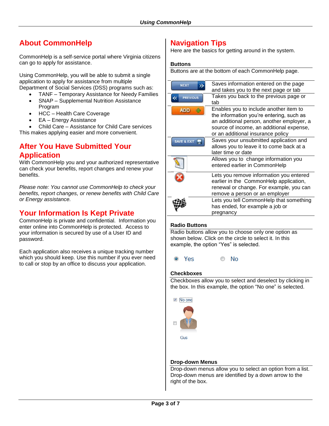## **About CommonHelp**

CommonHelp is a self-service portal where Virginia citizens can go to apply for assistance.

Using CommonHelp, you will be able to submit a single application to apply for assistance from multiple Department of Social Services (DSS) programs such as:

- TANF Temporary Assistance for Needy Families
- SNAP Supplemental Nutrition Assistance Program
- HCC Health Care Coverage
- EA Energy Assistance
- Child Care Assistance for Child Care services

This makes applying easier and more convenient.

## **After You Have Submitted Your Application**

With CommonHelp you and your authorized representative can check your benefits, report changes and renew your benefits.

*Please note: You cannot use CommonHelp to check your benefits, report changes, or renew benefits with Child Care or Energy assistance.* 

## **Your Information Is Kept Private**

CommonHelp is private and confidential. Information you enter online into CommonHelp is protected. Access to your information is secured by use of a User ID and password.

Each application also receives a unique tracking number which you should keep. Use this number if you ever need to call or stop by an office to discuss your application.

## **Navigation Tips**

Here are the basics for getting around in the system.

#### **Buttons**

Buttons are at the bottom of each CommonHelp page.

| <b>NEXT</b>     | Saves information entered on the page<br>and takes you to the next page or tab                                                                                                                                   |
|-----------------|------------------------------------------------------------------------------------------------------------------------------------------------------------------------------------------------------------------|
| <b>PREVIOUS</b> | Takes you back to the previous page or<br>tab                                                                                                                                                                    |
| <b>ADD</b>      | Enables you to include another item to<br>the information you're entering, such as<br>an additional person, another employer, a<br>source of income, an additional expense,<br>or an additional insurance policy |
| SAVE & EXIT     | Saves your unsubmitted application and<br>allows you to leave it to come back at a<br>later time or date                                                                                                         |
|                 | Allows you to change information you<br>entered earlier in CommonHelp                                                                                                                                            |
|                 | Lets you remove information you entered<br>earlier in the CommonHelp application,<br>renewal or change. For example, you can<br>remove a person or an employer                                                   |
|                 | Lets you tell CommonHelp that something<br>has ended, for example a job or<br>pregnancy                                                                                                                          |

## **Radio Buttons**

Radio buttons allow you to choose only one option as shown below. Click on the circle to select it. In this example, the option "Yes" is selected.

<sup>O</sup> Yes **No**  $\odot$ 

#### **Checkboxes**

Checkboxes allow you to select and deselect by clicking in the box. In this example, the option "No one" is selected.



Gus

#### **Drop-down Menus**

Drop-down menus allow you to select an option from a list. Drop-down menus are identified by a down arrow to the right of the box.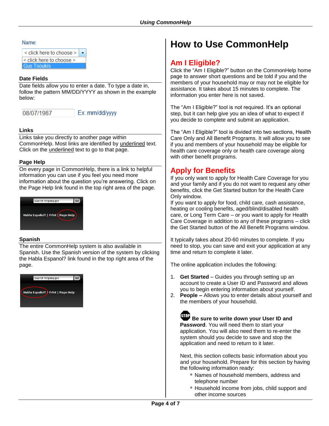#### Name:

| $\le$ click here to choose $\ge$ |  |
|----------------------------------|--|
| $\le$ click here to choose $\ge$ |  |
| us Tsoukis                       |  |

#### **Date Fields**

Date fields allow you to enter a date. To type a date in, follow the pattern MM/DD/YYYY as shown in the example below:

08/07/1987

## Ex: mm/dd/yyyy

#### **Links**

Links take you directly to another page within CommonHelp. Most links are identified by underlined text. Click on the underlined text to go to that page.

#### **Page Help**

On every page in CommonHelp, there is a link to helpful information you can use if you feel you need more information about the question you're answering. Click on the Page Help link found in the top right area of the page.



## **Spanish**

The entire CommonHelp system is also available in Spanish. Use the Spanish version of the system by clicking the Habla Espanol? link found in the top right area of the page.



# **How to Use CommonHelp**

## **Am I Eligible?**

Click the "Am I Eligible?" button on the CommonHelp home page to answer short questions and be told if you and the members of your household may or may not be eligible for assistance. It takes about 15 minutes to complete. The information you enter here is not saved.

The "Am I Eligible?" tool is not required. It's an optional step, but it can help give you an idea of what to expect if you decide to complete and submit an application.

The "Am I Eligible?" tool is divided into two sections, Health Care Only and All Benefit Programs. It will allow you to see if you and members of your household may be eligible for health care coverage only or health care coverage along with other benefit programs.

## **Apply for Benefits**

If you only want to apply for Health Care Coverage for you and your family and if you do not want to request any other benefits, click the Get Started button for the Health Care Only window.

If you want to apply for food, child care, cash assistance, heating or cooling benefits, aged/blind/disabled health care, or Long Term Care – or you want to apply for Health Care Coverage in addition to any of these programs – click the Get Started button of the All Benefit Programs window.

It typically takes about 20-60 minutes to complete. If you need to stop, you can save and exit your application at any time and return to complete it later.

The online application includes the following:

- 1. **Get Started** Guides you through setting up an account to create a User ID and Password and allows you to begin entering information about yourself.
- 2. **People –** Allows you to enter details about yourself and the members of your household.

**Be sure to write down your User ID and Password**. You will need them to start your application. You will also need them to re-enter the system should you decide to save and stop the application and need to return to it later.

Next, this section collects basic information about you and your household. Prepare for this section by having the following information ready:

- Names of household members, address and telephone number
- Household income from jobs, child support and other income sources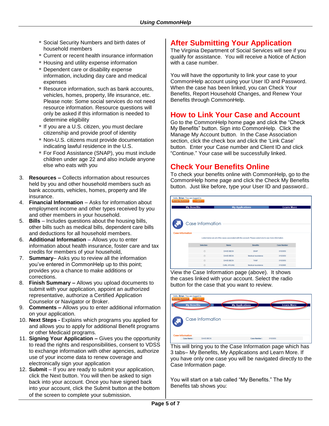- Social Security Numbers and birth dates of household members
- Current or recent health insurance information
- **Housing and utility expense information**
- **Dependent care or disability expense** information, including day care and medical expenses
- Resource information, such as bank accounts, vehicles, homes, property, life insurance, etc. Please note: Some social services do not need resource information. Resource questions will only be asked if this information is needed to determine eligibility
- If you are a U.S. citizen, you must declare citizenship and provide proof of identity
- Non-U.S. citizens must provide documentation indicating lawful residence in the U.S.
- For Food Assistance (SNAP), you must include children under age 22 and also include anyone else who eats with you
- 3. **Resources –** Collects information about resources held by you and other household members such as bank accounts, vehicles, homes, property and life insurance.
- 4. **Financial Information** Asks for information about employment income and other types received by you and other members in your household.
- 5. **Bills** Includes questions about the housing bills, other bills such as medical bills, dependent care bills and deductions for all household members.
- 6. **Additional Information**  Allows you to enter information about health insurance, foster care and tax credits for members of your household,
- 7. **Summary** Asks you to review all the information you've entered in CommonHelp up to this point; provides you a chance to make additions or corrections.
- 8. **Finish Summary –** Allows you upload documents to submit with your application, appoint an authorized representative, authorize a Certified Application Counselor or Navigator or Broker.
- 9. **Comments –** Allows you to enter additional information on your application.
- 10. **Next Steps -** Explains which programs you applied for and allows you to apply for additional Benefit programs or other Medicaid programs.
- 11. **Signing Your Application –** Gives you the opportunity to read the rights and responsibilities, consent to VDSS to exchange information with other agencies, authorize use of your income data to renew coverage and electronically sign your application
- 12. **Submit**  If you are ready to submit your application, click the Next button. You will then be asked to sign back into your account. Once you have signed back into your account, click the Submit button at the bottom of the screen to complete your submission.

## **After Submitting Your Application**

The Virginia Department of Social Services will see if you qualify for assistance. You will receive a Notice of Action with a case number.

You will have the opportunity to link your case to your CommonHelp account using your User ID and Password. When the case has been linked, you can Check Your Benefits, Report Household Changes, and Renew Your Benefits through CommonHelp.

## **How to Link Your Case and Account**

Go to the CommonHelp home page and click the "Check My Benefits" button. Sign into CommonHelp. Click the Manage My Account button. In the Case Association section, click the check box and click the 'Link Case' button. Enter your Case number and Client ID and click "Continue." Your case will be successfully linked.

## **Check Your Benefits Online**

To check your benefits online with CommonHelp, go to the CommonHelp home page and click the Check My Benefits button. Just like before, type your User ID and password..

| Hello, Brian. You are logged in.<br><b>Manage My Account</b> | Logout             |                        |                                                                                                            |                    |  |
|--------------------------------------------------------------|--------------------|------------------------|------------------------------------------------------------------------------------------------------------|--------------------|--|
|                                                              | <b>My Benefits</b> | <b>My Applications</b> |                                                                                                            | <b>Learn More</b>  |  |
|                                                              | Case Information   |                        |                                                                                                            |                    |  |
| <b>Case Information</b>                                      |                    |                        | Listed below are all of the cases associated with this account. Please select one to see more information. |                    |  |
|                                                              | Selection          | <b>Name</b>            | <b>Benefits</b>                                                                                            | <b>Case Number</b> |  |
|                                                              | ø                  | <b>DAVID BECK</b>      | SNAP                                                                                                       | 0103050            |  |
|                                                              | ®                  | <b>DAVID BECK</b>      | <b>Medical Assistance</b>                                                                                  | 0103050            |  |
|                                                              | $\odot$            | <b>DAVID BECK</b>      | <b>TANF</b>                                                                                                | 0103050            |  |

View the Case Information page (above). It shows the cases linked with your account. Select the radio button for the case that you want to review.

| <b>Manage My Account</b> | Hello, Brian. You are logged in.<br><b>My Benefits</b> | Logout            | <b>My Applications</b> | <b>Learn More</b> |
|--------------------------|--------------------------------------------------------|-------------------|------------------------|-------------------|
|                          |                                                        | Case Information  |                        |                   |
|                          | <b>Case Information</b>                                |                   |                        |                   |
|                          | Case Name:                                             | <b>DAVID BECK</b> | Case Number:           | 0103050           |

This will bring you to the Case Information page which has 3 tabs– My Benefits, My Applications and Learn More. If you have only one case you will be navigated directly to the Case Information page.

You will start on a tab called "My Benefits." The My Benefits tab shows you: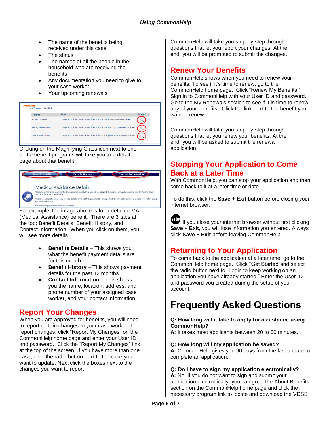- The name of the benefits being received under this case
- The status
- The names of all the people in the household who are receiving the benefits
- Any documentation you need to give to your case worker
- Your upcoming renewals

| As of Thursday, April 26, 2012. |                                                                                            |                |
|---------------------------------|--------------------------------------------------------------------------------------------|----------------|
| <b>Benefits</b>                 | <b>Status</b>                                                                              | <b>Details</b> |
| Medical Assistance              | In April 2012, ALANA, DAVID, JENNA, and JUSTIN are getting Medical Assistance benefits.    |                |
| SNAP (Food Assistance)          | In April 2012, ALANA, DAVID, JENNA, and JUSTIN are getting SNAP (Food Assistance) benefits |                |
| <b>TANF (Cash Assistance)</b>   | In April 2012, ALANA, DAVID, JENNA, and JUSTIN are getting TANF (Cash Assistance) benefits |                |

Clicking on the Magnifying Glass icon next to one of the benefit programs will take you to a detail page about that benefit.



For example, the image above is for a detailed MA (Medical Assistance) benefit. There are 3 tabs at the top: Benefit Details, Benefit History, and Contact Information. When you click on them, you will see more details.

- **Benefits Details** This shows you what the benefit payment details are for this month.
- **Benefit History** This shows payment details for the past 12 months.
- **Contact Information** This shows you the name, location, address, and phone number of your assigned case worker, and your contact information.

## **Report Your Changes**

When you are approved for benefits, you will need to report certain changes to your case worker. To report changes, click "Report My Changes" on the CommonHelp home page and enter your User ID and password. Click the "Report My Changes" link at the top of the screen. If you have more than one case, click the radio button next to the case you want to update. Next click the boxes next to the changes you want to report.

CommonHelp will take you step-by-step through questions that let you report your changes. At the end, you will be prompted to submit the changes.

## **Renew Your Benefits**

CommonHelp shows when you need to renew your benefits. To see if it's time to renew, go to the CommonHelp home page. Click "Renew My Benefits." Sign in to CommonHelp with your User ID and password. Go to the My Renewals section to see if it is time to renew any of your benefits. Click the link next to the benefit you want to renew.

CommonHelp will take you step-by-step through questions that let you renew your benefits. At the end, you will be asked to submit the renewal application.

## **Stopping Your Application to Come Back at a Later Time**

With CommonHelp, you can stop your application and then come back to it at a later time or date.

To do this, click the **Save + Exit** button before closing your internet browser.

 $\overline{\text{SD}}$  If you close your internet browser without first clicking **Save + Exit**, you will lose information you entered. Always click **Save + Exit** before leaving CommonHelp.

## **Returning to Your Application**

To come back to the application at a later time, go to the CommonHelp home page. Click "Get Started"and select the radio button next to "Login to keep working on an application you have already started." Enter the User ID and password you created during the setup of your account.

# **Frequently Asked Questions**

#### **Q: How long will it take to apply for assistance using CommonHelp?**

**A:** It takes most applicants between 20 to 60 minutes.

#### **Q: How long will my application be saved?**

**A:** CommonHelp gives you 90 days from the last update to complete an application.

#### **Q: Do I have to sign my application electronically?**

**A:** No. If you do not want to sign and submit your application electronically, you can go to the About Benefits section on the CommonHelp home page and click the necessary program link to locate and download the VDSS